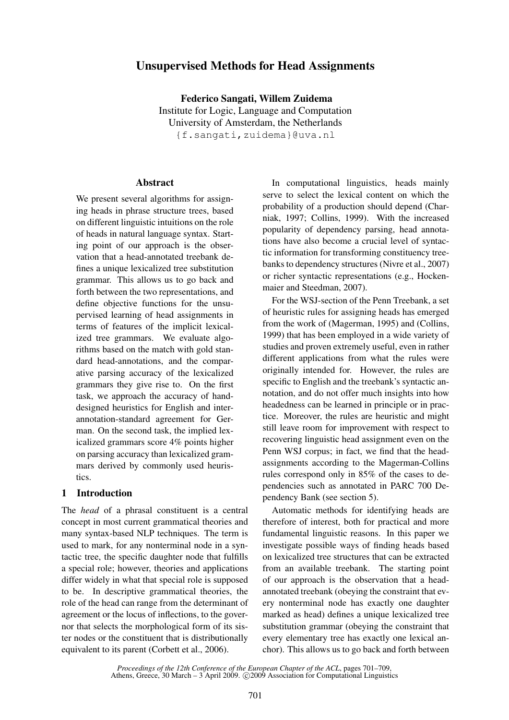# Unsupervised Methods for Head Assignments

Federico Sangati, Willem Zuidema Institute for Logic, Language and Computation University of Amsterdam, the Netherlands {f.sangati,zuidema}@uva.nl

## Abstract

We present several algorithms for assigning heads in phrase structure trees, based on different linguistic intuitions on the role of heads in natural language syntax. Starting point of our approach is the observation that a head-annotated treebank defines a unique lexicalized tree substitution grammar. This allows us to go back and forth between the two representations, and define objective functions for the unsupervised learning of head assignments in terms of features of the implicit lexicalized tree grammars. We evaluate algorithms based on the match with gold standard head-annotations, and the comparative parsing accuracy of the lexicalized grammars they give rise to. On the first task, we approach the accuracy of handdesigned heuristics for English and interannotation-standard agreement for German. On the second task, the implied lexicalized grammars score 4% points higher on parsing accuracy than lexicalized grammars derived by commonly used heuristics.

## 1 Introduction

The *head* of a phrasal constituent is a central concept in most current grammatical theories and many syntax-based NLP techniques. The term is used to mark, for any nonterminal node in a syntactic tree, the specific daughter node that fulfills a special role; however, theories and applications differ widely in what that special role is supposed to be. In descriptive grammatical theories, the role of the head can range from the determinant of agreement or the locus of inflections, to the governor that selects the morphological form of its sister nodes or the constituent that is distributionally equivalent to its parent (Corbett et al., 2006).

In computational linguistics, heads mainly serve to select the lexical content on which the probability of a production should depend (Charniak, 1997; Collins, 1999). With the increased popularity of dependency parsing, head annotations have also become a crucial level of syntactic information for transforming constituency treebanks to dependency structures (Nivre et al., 2007) or richer syntactic representations (e.g., Hockenmaier and Steedman, 2007).

For the WSJ-section of the Penn Treebank, a set of heuristic rules for assigning heads has emerged from the work of (Magerman, 1995) and (Collins, 1999) that has been employed in a wide variety of studies and proven extremely useful, even in rather different applications from what the rules were originally intended for. However, the rules are specific to English and the treebank's syntactic annotation, and do not offer much insights into how headedness can be learned in principle or in practice. Moreover, the rules are heuristic and might still leave room for improvement with respect to recovering linguistic head assignment even on the Penn WSJ corpus; in fact, we find that the headassignments according to the Magerman-Collins rules correspond only in 85% of the cases to dependencies such as annotated in PARC 700 Dependency Bank (see section 5).

Automatic methods for identifying heads are therefore of interest, both for practical and more fundamental linguistic reasons. In this paper we investigate possible ways of finding heads based on lexicalized tree structures that can be extracted from an available treebank. The starting point of our approach is the observation that a headannotated treebank (obeying the constraint that every nonterminal node has exactly one daughter marked as head) defines a unique lexicalized tree substitution grammar (obeying the constraint that every elementary tree has exactly one lexical anchor). This allows us to go back and forth between

*Proceedings of the 12th Conference of the European Chapter of the ACL*, pages 701–709, Athens, Greece, 30 March – 3 April 2009. © 2009 Association for Computational Linguistics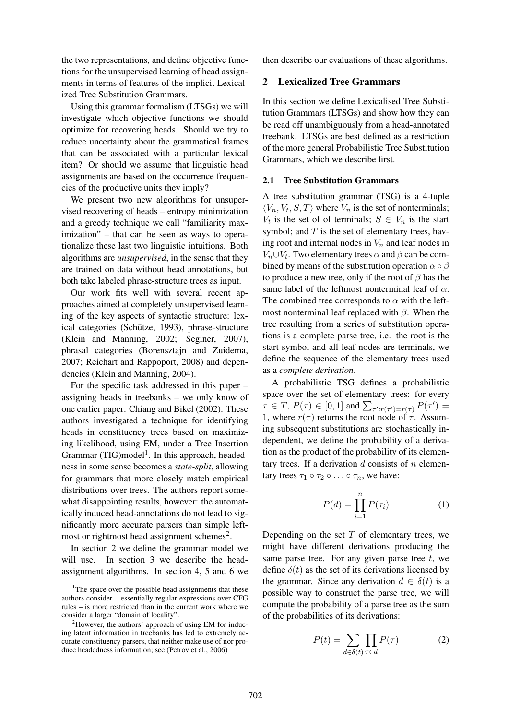the two representations, and define objective functions for the unsupervised learning of head assignments in terms of features of the implicit Lexicalized Tree Substitution Grammars.

Using this grammar formalism (LTSGs) we will investigate which objective functions we should optimize for recovering heads. Should we try to reduce uncertainty about the grammatical frames that can be associated with a particular lexical item? Or should we assume that linguistic head assignments are based on the occurrence frequencies of the productive units they imply?

We present two new algorithms for unsupervised recovering of heads – entropy minimization and a greedy technique we call "familiarity maximization" – that can be seen as ways to operationalize these last two linguistic intuitions. Both algorithms are *unsupervised*, in the sense that they are trained on data without head annotations, but both take labeled phrase-structure trees as input.

Our work fits well with several recent approaches aimed at completely unsupervised learning of the key aspects of syntactic structure: lexical categories (Schütze, 1993), phrase-structure (Klein and Manning, 2002; Seginer, 2007), phrasal categories (Borensztajn and Zuidema, 2007; Reichart and Rappoport, 2008) and dependencies (Klein and Manning, 2004).

For the specific task addressed in this paper – assigning heads in treebanks – we only know of one earlier paper: Chiang and Bikel (2002). These authors investigated a technique for identifying heads in constituency trees based on maximizing likelihood, using EM, under a Tree Insertion Grammar  $(TIG)$ model<sup>1</sup>. In this approach, headedness in some sense becomes a *state-split*, allowing for grammars that more closely match empirical distributions over trees. The authors report somewhat disappointing results, however: the automatically induced head-annotations do not lead to significantly more accurate parsers than simple leftmost or rightmost head assignment schemes<sup>2</sup>.

In section 2 we define the grammar model we will use. In section 3 we describe the headassignment algorithms. In section 4, 5 and 6 we then describe our evaluations of these algorithms.

# 2 Lexicalized Tree Grammars

In this section we define Lexicalised Tree Substitution Grammars (LTSGs) and show how they can be read off unambiguously from a head-annotated treebank. LTSGs are best defined as a restriction of the more general Probabilistic Tree Substitution Grammars, which we describe first.

## 2.1 Tree Substitution Grammars

A tree substitution grammar (TSG) is a 4-tuple  $\langle V_n, V_t, S, T \rangle$  where  $V_n$  is the set of nonterminals;  $V_t$  is the set of of terminals;  $S \in V_n$  is the start symbol; and  $T$  is the set of elementary trees, having root and internal nodes in  $V_n$  and leaf nodes in  $V_n \cup V_t$ . Two elementary trees  $\alpha$  and  $\beta$  can be combined by means of the substitution operation  $\alpha \circ \beta$ to produce a new tree, only if the root of  $\beta$  has the same label of the leftmost nonterminal leaf of  $\alpha$ . The combined tree corresponds to  $\alpha$  with the leftmost nonterminal leaf replaced with  $\beta$ . When the tree resulting from a series of substitution operations is a complete parse tree, i.e. the root is the start symbol and all leaf nodes are terminals, we define the sequence of the elementary trees used as a *complete derivation*.

A probabilistic TSG defines a probabilistic space over the set of elementary trees: for every  $\tau \in T$ ,  $P(\tau) \in [0,1]$  and  $\sum_{\tau':\tau(\tau') = r(\tau)} P(\tau') =$ 1, where  $r(\tau)$  returns the root node of  $\tau$ . Assuming subsequent substitutions are stochastically independent, we define the probability of a derivation as the product of the probability of its elementary trees. If a derivation  $d$  consists of  $n$  elementary trees  $\tau_1 \circ \tau_2 \circ \ldots \circ \tau_n$ , we have:

$$
P(d) = \prod_{i=1}^{n} P(\tau_i)
$$
 (1)

Depending on the set  $T$  of elementary trees, we might have different derivations producing the same parse tree. For any given parse tree  $t$ , we define  $\delta(t)$  as the set of its derivations licensed by the grammar. Since any derivation  $d \in \delta(t)$  is a possible way to construct the parse tree, we will compute the probability of a parse tree as the sum of the probabilities of its derivations:

$$
P(t) = \sum_{d \in \delta(t)} \prod_{\tau \in d} P(\tau) \tag{2}
$$

 $1$ The space over the possible head assignments that these authors consider – essentially regular expressions over CFG rules – is more restricted than in the current work where we consider a larger "domain of locality".

 $2$ However, the authors' approach of using EM for inducing latent information in treebanks has led to extremely accurate constituency parsers, that neither make use of nor produce headedness information; see (Petrov et al., 2006)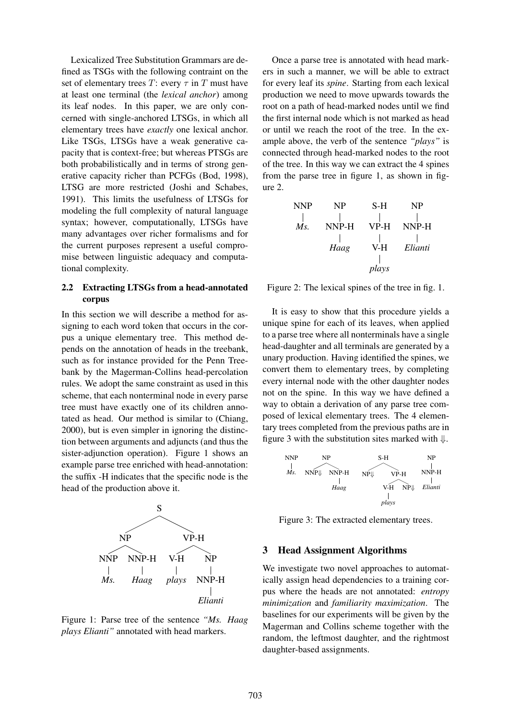Lexicalized Tree Substitution Grammars are defined as TSGs with the following contraint on the set of elementary trees T: every  $\tau$  in T must have at least one terminal (the *lexical anchor*) among its leaf nodes. In this paper, we are only concerned with single-anchored LTSGs, in which all elementary trees have *exactly* one lexical anchor. Like TSGs, LTSGs have a weak generative capacity that is context-free; but whereas PTSGs are both probabilistically and in terms of strong generative capacity richer than PCFGs (Bod, 1998), LTSG are more restricted (Joshi and Schabes, 1991). This limits the usefulness of LTSGs for modeling the full complexity of natural language syntax; however, computationally, LTSGs have many advantages over richer formalisms and for the current purposes represent a useful compromise between linguistic adequacy and computational complexity.

# 2.2 Extracting LTSGs from a head-annotated corpus

In this section we will describe a method for assigning to each word token that occurs in the corpus a unique elementary tree. This method depends on the annotation of heads in the treebank, such as for instance provided for the Penn Treebank by the Magerman-Collins head-percolation rules. We adopt the same constraint as used in this scheme, that each nonterminal node in every parse tree must have exactly one of its children annotated as head. Our method is similar to (Chiang, 2000), but is even simpler in ignoring the distinction between arguments and adjuncts (and thus the sister-adjunction operation). Figure 1 shows an example parse tree enriched with head-annotation: the suffix -H indicates that the specific node is the head of the production above it.



Figure 1: Parse tree of the sentence *"Ms. Haag plays Elianti"* annotated with head markers.

Once a parse tree is annotated with head markers in such a manner, we will be able to extract for every leaf its *spine*. Starting from each lexical production we need to move upwards towards the root on a path of head-marked nodes until we find the first internal node which is not marked as head or until we reach the root of the tree. In the example above, the verb of the sentence *"plays"* is connected through head-marked nodes to the root of the tree. In this way we can extract the 4 spines from the parse tree in figure 1, as shown in figure 2.

| NNP         | NP          | S-H         | NP    |
|-------------|-------------|-------------|-------|
| $\parallel$ | $\parallel$ | $\parallel$ |       |
| $Ms$        | NNP-H       | VP-H        | NNP-H |
| $\parallel$ | $\parallel$ | $\parallel$ |       |
| $Haag$      | V-H         | Elianti     |       |
| $\parallel$ | $\parallel$ |             |       |
| $\parallel$ | $\parallel$ |             |       |

Figure 2: The lexical spines of the tree in fig. 1.

It is easy to show that this procedure yields a unique spine for each of its leaves, when applied to a parse tree where all nonterminals have a single head-daughter and all terminals are generated by a unary production. Having identified the spines, we convert them to elementary trees, by completing every internal node with the other daughter nodes not on the spine. In this way we have defined a way to obtain a derivation of any parse tree composed of lexical elementary trees. The 4 elementary trees completed from the previous paths are in figure 3 with the substitution sites marked with  $\Downarrow$ .



Figure 3: The extracted elementary trees.

## 3 Head Assignment Algorithms

We investigate two novel approaches to automatically assign head dependencies to a training corpus where the heads are not annotated: *entropy minimization* and *familiarity maximization*. The baselines for our experiments will be given by the Magerman and Collins scheme together with the random, the leftmost daughter, and the rightmost daughter-based assignments.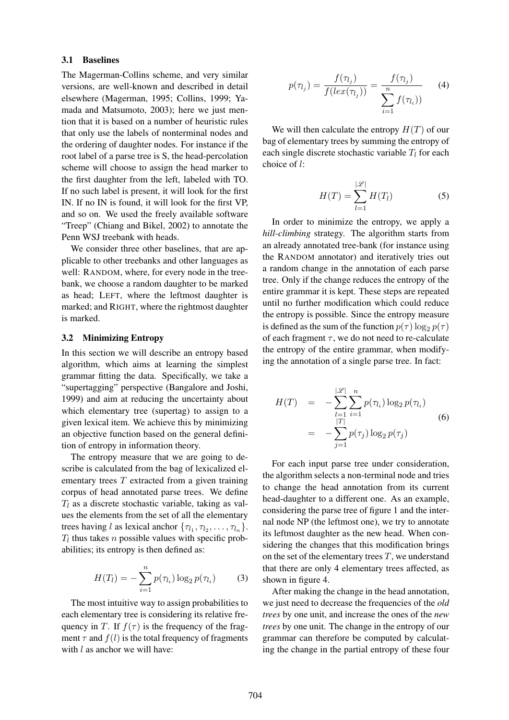### 3.1 Baselines

The Magerman-Collins scheme, and very similar versions, are well-known and described in detail elsewhere (Magerman, 1995; Collins, 1999; Yamada and Matsumoto, 2003); here we just mention that it is based on a number of heuristic rules that only use the labels of nonterminal nodes and the ordering of daughter nodes. For instance if the root label of a parse tree is S, the head-percolation scheme will choose to assign the head marker to the first daughter from the left, labeled with TO. If no such label is present, it will look for the first IN. If no IN is found, it will look for the first VP, and so on. We used the freely available software "Treep" (Chiang and Bikel, 2002) to annotate the Penn WSJ treebank with heads.

We consider three other baselines, that are applicable to other treebanks and other languages as well: RANDOM, where, for every node in the treebank, we choose a random daughter to be marked as head; LEFT, where the leftmost daughter is marked; and RIGHT, where the rightmost daughter is marked.

### 3.2 Minimizing Entropy

In this section we will describe an entropy based algorithm, which aims at learning the simplest grammar fitting the data. Specifically, we take a "supertagging" perspective (Bangalore and Joshi, 1999) and aim at reducing the uncertainty about which elementary tree (supertag) to assign to a given lexical item. We achieve this by minimizing an objective function based on the general definition of entropy in information theory.

The entropy measure that we are going to describe is calculated from the bag of lexicalized elementary trees  $T$  extracted from a given training corpus of head annotated parse trees. We define  $T<sub>l</sub>$  as a discrete stochastic variable, taking as values the elements from the set of all the elementary trees having l as lexical anchor  $\{\tau_{l_1}, \tau_{l_2}, \ldots, \tau_{l_n}\}.$  $T_l$  thus takes n possible values with specific probabilities; its entropy is then defined as:

$$
H(T_l) = -\sum_{i=1}^{n} p(\tau_{l_i}) \log_2 p(\tau_{l_i})
$$
 (3)

The most intuitive way to assign probabilities to each elementary tree is considering its relative frequency in T. If  $f(\tau)$  is the frequency of the fragment  $\tau$  and  $f(l)$  is the total frequency of fragments with  $l$  as anchor we will have:

$$
p(\tau_{l_j}) = \frac{f(\tau_{l_j})}{f(lex(\tau_{l_j}))} = \frac{f(\tau_{l_j})}{\sum_{i=1}^{n} f(\tau_{l_i}))}
$$
 (4)

We will then calculate the entropy  $H(T)$  of our bag of elementary trees by summing the entropy of each single discrete stochastic variable  $T_l$  for each choice of l:

$$
H(T) = \sum_{l=1}^{|\mathcal{L}|} H(T_l)
$$
 (5)

In order to minimize the entropy, we apply a *hill-climbing* strategy. The algorithm starts from an already annotated tree-bank (for instance using the RANDOM annotator) and iteratively tries out a random change in the annotation of each parse tree. Only if the change reduces the entropy of the entire grammar it is kept. These steps are repeated until no further modification which could reduce the entropy is possible. Since the entropy measure is defined as the sum of the function  $p(\tau) \log_2 p(\tau)$ of each fragment  $\tau$ , we do not need to re-calculate the entropy of the entire grammar, when modifying the annotation of a single parse tree. In fact:

$$
H(T) = -\sum_{l=1}^{|\mathcal{L}|} \sum_{i=1}^{n} p(\tau_{l_i}) \log_2 p(\tau_{l_i})
$$
  
= 
$$
-\sum_{j=1}^{|\mathcal{T}|} p(\tau_j) \log_2 p(\tau_j)
$$
(6)

For each input parse tree under consideration, the algorithm selects a non-terminal node and tries to change the head annotation from its current head-daughter to a different one. As an example, considering the parse tree of figure 1 and the internal node NP (the leftmost one), we try to annotate its leftmost daughter as the new head. When considering the changes that this modification brings on the set of the elementary trees  $T$ , we understand that there are only 4 elementary trees affected, as shown in figure 4.

After making the change in the head annotation, we just need to decrease the frequencies of the *old trees* by one unit, and increase the ones of the *new trees* by one unit. The change in the entropy of our grammar can therefore be computed by calculating the change in the partial entropy of these four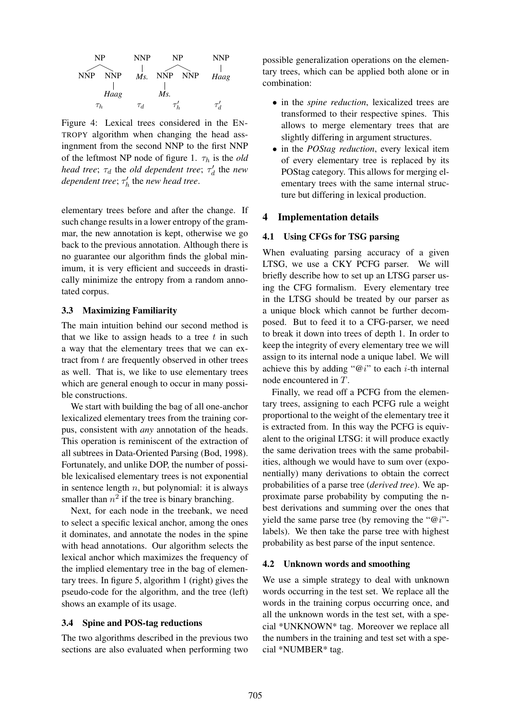

Figure 4: Lexical trees considered in the EN-TROPY algorithm when changing the head assingnment from the second NNP to the first NNP of the leftmost NP node of figure 1.  $\tau_h$  is the *old head tree*;  $\tau_d$  the *old dependent tree*;  $\tau'_d$  the *new*  $dependent$  *tree*;  $\tau_h'$  the *new head tree*.

elementary trees before and after the change. If such change results in a lower entropy of the grammar, the new annotation is kept, otherwise we go back to the previous annotation. Although there is no guarantee our algorithm finds the global minimum, it is very efficient and succeeds in drastically minimize the entropy from a random annotated corpus.

## 3.3 Maximizing Familiarity

The main intuition behind our second method is that we like to assign heads to a tree  $t$  in such a way that the elementary trees that we can extract from  $t$  are frequently observed in other trees as well. That is, we like to use elementary trees which are general enough to occur in many possible constructions.

We start with building the bag of all one-anchor lexicalized elementary trees from the training corpus, consistent with *any* annotation of the heads. This operation is reminiscent of the extraction of all subtrees in Data-Oriented Parsing (Bod, 1998). Fortunately, and unlike DOP, the number of possible lexicalised elementary trees is not exponential in sentence length  $n$ , but polynomial: it is always smaller than  $n^2$  if the tree is binary branching.

Next, for each node in the treebank, we need to select a specific lexical anchor, among the ones it dominates, and annotate the nodes in the spine with head annotations. Our algorithm selects the lexical anchor which maximizes the frequency of the implied elementary tree in the bag of elementary trees. In figure 5, algorithm 1 (right) gives the pseudo-code for the algorithm, and the tree (left) shows an example of its usage.

# 3.4 Spine and POS-tag reductions

The two algorithms described in the previous two sections are also evaluated when performing two possible generalization operations on the elementary trees, which can be applied both alone or in combination:

- in the *spine reduction*, lexicalized trees are transformed to their respective spines. This allows to merge elementary trees that are slightly differing in argument structures.
- in the *POStag reduction*, every lexical item of every elementary tree is replaced by its POStag category. This allows for merging elementary trees with the same internal structure but differing in lexical production.

### 4 Implementation details

### 4.1 Using CFGs for TSG parsing

When evaluating parsing accuracy of a given LTSG, we use a CKY PCFG parser. We will briefly describe how to set up an LTSG parser using the CFG formalism. Every elementary tree in the LTSG should be treated by our parser as a unique block which cannot be further decomposed. But to feed it to a CFG-parser, we need to break it down into trees of depth 1. In order to keep the integrity of every elementary tree we will assign to its internal node a unique label. We will achieve this by adding " $@i"$ " to each *i*-th internal node encountered in T.

Finally, we read off a PCFG from the elementary trees, assigning to each PCFG rule a weight proportional to the weight of the elementary tree it is extracted from. In this way the PCFG is equivalent to the original LTSG: it will produce exactly the same derivation trees with the same probabilities, although we would have to sum over (exponentially) many derivations to obtain the correct probabilities of a parse tree (*derived tree*). We approximate parse probability by computing the nbest derivations and summing over the ones that vield the same parse tree (by removing the " $@i"$ labels). We then take the parse tree with highest probability as best parse of the input sentence.

#### 4.2 Unknown words and smoothing

We use a simple strategy to deal with unknown words occurring in the test set. We replace all the words in the training corpus occurring once, and all the unknown words in the test set, with a special \*UNKNOWN\* tag. Moreover we replace all the numbers in the training and test set with a special \*NUMBER\* tag.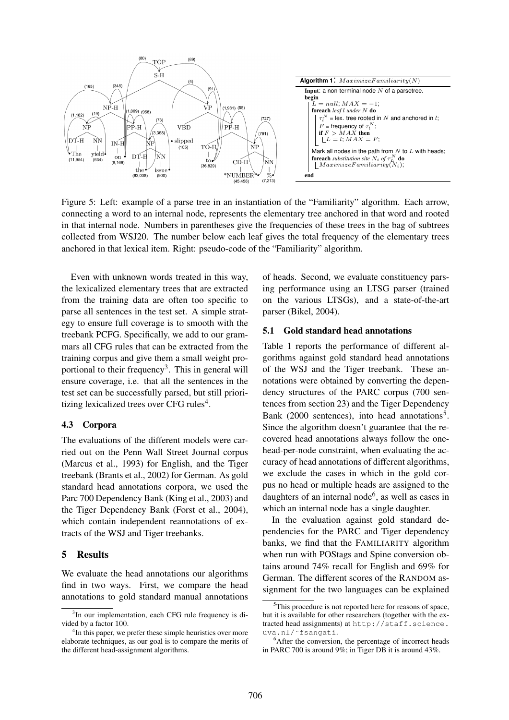

Figure 5: Left: example of a parse tree in an instantiation of the "Familiarity" algorithm. Each arrow, connecting a word to an internal node, represents the elementary tree anchored in that word and rooted in that internal node. Numbers in parentheses give the frequencies of these trees in the bag of subtrees collected from WSJ20. The number below each leaf gives the total frequency of the elementary trees anchored in that lexical item. Right: pseudo-code of the "Familiarity" algorithm.

Even with unknown words treated in this way, the lexicalized elementary trees that are extracted from the training data are often too specific to parse all sentences in the test set. A simple strategy to ensure full coverage is to smooth with the treebank PCFG. Specifically, we add to our grammars all CFG rules that can be extracted from the training corpus and give them a small weight proportional to their frequency<sup>3</sup>. This in general will ensure coverage, i.e. that all the sentences in the test set can be successfully parsed, but still prioritizing lexicalized trees over CFG rules<sup>4</sup>.

## 4.3 Corpora

The evaluations of the different models were carried out on the Penn Wall Street Journal corpus (Marcus et al., 1993) for English, and the Tiger treebank (Brants et al., 2002) for German. As gold standard head annotations corpora, we used the Parc 700 Dependency Bank (King et al., 2003) and the Tiger Dependency Bank (Forst et al., 2004), which contain independent reannotations of extracts of the WSJ and Tiger treebanks.

## 5 Results

We evaluate the head annotations our algorithms find in two ways. First, we compare the head annotations to gold standard manual annotations

of heads. Second, we evaluate constituency parsing performance using an LTSG parser (trained on the various LTSGs), and a state-of-the-art parser (Bikel, 2004).

## 5.1 Gold standard head annotations

Table 1 reports the performance of different algorithms against gold standard head annotations of the WSJ and the Tiger treebank. These annotations were obtained by converting the dependency structures of the PARC corpus (700 sentences from section 23) and the Tiger Dependency Bank (2000 sentences), into head annotations<sup>5</sup>. Since the algorithm doesn't guarantee that the recovered head annotations always follow the onehead-per-node constraint, when evaluating the accuracy of head annotations of different algorithms, we exclude the cases in which in the gold corpus no head or multiple heads are assigned to the daughters of an internal node<sup>6</sup>, as well as cases in which an internal node has a single daughter.

In the evaluation against gold standard dependencies for the PARC and Tiger dependency banks, we find that the FAMILIARITY algorithm when run with POStags and Spine conversion obtains around 74% recall for English and 69% for German. The different scores of the RANDOM assignment for the two languages can be explained

<sup>&</sup>lt;sup>3</sup>In our implementation, each CFG rule frequency is divided by a factor 100.

<sup>&</sup>lt;sup>4</sup>In this paper, we prefer these simple heuristics over more elaborate techniques, as our goal is to compare the merits of the different head-assignment algorithms.

 $5$ This procedure is not reported here for reasons of space, but it is available for other researchers (together with the extracted head assignments) at http://staff.science. uva.nl/˜fsangati.

<sup>&</sup>lt;sup>6</sup>After the conversion, the percentage of incorrect heads in PARC 700 is around 9%; in Tiger DB it is around 43%.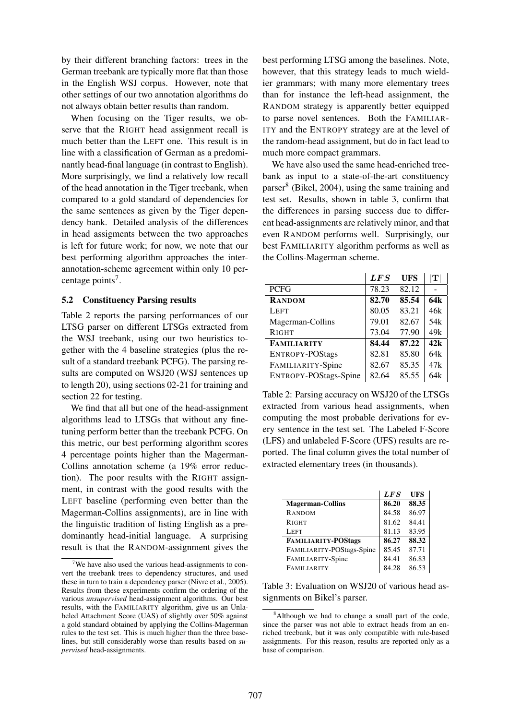by their different branching factors: trees in the German treebank are typically more flat than those in the English WSJ corpus. However, note that other settings of our two annotation algorithms do not always obtain better results than random.

When focusing on the Tiger results, we observe that the RIGHT head assignment recall is much better than the LEFT one. This result is in line with a classification of German as a predominantly head-final language (in contrast to English). More surprisingly, we find a relatively low recall of the head annotation in the Tiger treebank, when compared to a gold standard of dependencies for the same sentences as given by the Tiger dependency bank. Detailed analysis of the differences in head assigments between the two approaches is left for future work; for now, we note that our best performing algorithm approaches the interannotation-scheme agreement within only 10 percentage points<sup>7</sup>.

## 5.2 Constituency Parsing results

Table 2 reports the parsing performances of our LTSG parser on different LTSGs extracted from the WSJ treebank, using our two heuristics together with the 4 baseline strategies (plus the result of a standard treebank PCFG). The parsing results are computed on WSJ20 (WSJ sentences up to length 20), using sections 02-21 for training and section 22 for testing.

We find that all but one of the head-assignment algorithms lead to LTSGs that without any finetuning perform better than the treebank PCFG. On this metric, our best performing algorithm scores 4 percentage points higher than the Magerman-Collins annotation scheme (a 19% error reduction). The poor results with the RIGHT assignment, in contrast with the good results with the LEFT baseline (performing even better than the Magerman-Collins assignments), are in line with the linguistic tradition of listing English as a predominantly head-initial language. A surprising result is that the RANDOM-assignment gives the best performing LTSG among the baselines. Note, however, that this strategy leads to much wieldier grammars; with many more elementary trees than for instance the left-head assignment, the RANDOM strategy is apparently better equipped to parse novel sentences. Both the FAMILIAR-ITY and the ENTROPY strategy are at the level of the random-head assignment, but do in fact lead to much more compact grammars.

We have also used the same head-enriched treebank as input to a state-of-the-art constituency parser<sup>8</sup> (Bikel, 2004), using the same training and test set. Results, shown in table 3, confirm that the differences in parsing success due to different head-assignments are relatively minor, and that even RANDOM performs well. Surprisingly, our best FAMILIARITY algorithm performs as well as the Collins-Magerman scheme.

|                        | LFS   | <b>UFS</b> | $\bf{T}$ |
|------------------------|-------|------------|----------|
| <b>PCFG</b>            | 78.23 | 82.12      |          |
| <b>RANDOM</b>          | 82.70 | 85.54      | 64k      |
| <b>LEFT</b>            | 80.05 | 83.21      | 46k      |
| Magerman-Collins       | 79.01 | 82.67      | 54k      |
| <b>RIGHT</b>           | 73.04 | 77.90      | 49k      |
| <b>FAMILIARITY</b>     | 84.44 | 87.22      | 42k      |
| <b>ENTROPY-POStags</b> | 82.81 | 85.80      | 64k      |
| FAMILIARITY-Spine      | 82.67 | 85.35      | 47k      |
| ENTROPY-POStags-Spine  | 82.64 | 85.55      | 64k      |

Table 2: Parsing accuracy on WSJ20 of the LTSGs extracted from various head assignments, when computing the most probable derivations for every sentence in the test set. The Labeled F-Score (LFS) and unlabeled F-Score (UFS) results are reported. The final column gives the total number of extracted elementary trees (in thousands).

|                            | <b>LFS</b> | <b>UFS</b> |
|----------------------------|------------|------------|
| <b>Magerman-Collins</b>    | 86.20      | 88.35      |
| <b>RANDOM</b>              | 84.58      | 86.97      |
| <b>RIGHT</b>               | 81.62      | 84.41      |
| <b>LEFT</b>                | 81.13      | 83.95      |
| <b>FAMILIARITY-POStags</b> | 86.27      | 88.32      |
| FAMILIARITY-POStags-Spine  | 85.45      | 87.71      |
| FAMILIARITY-Spine          | 84.41      | 86.83      |
| <b>FAMILIARITY</b>         | 84.28      | 86.53      |

Table 3: Evaluation on WSJ20 of various head assignments on Bikel's parser.

 $7$ We have also used the various head-assignments to convert the treebank trees to dependency structures, and used these in turn to train a dependency parser (Nivre et al., 2005). Results from these experiments confirm the ordering of the various *unsupervised* head-assignment algorithms. Our best results, with the FAMILIARITY algorithm, give us an Unlabeled Attachment Score (UAS) of slightly over 50% against a gold standard obtained by applying the Collins-Magerman rules to the test set. This is much higher than the three baselines, but still considerably worse than results based on *supervised* head-assignments.

<sup>&</sup>lt;sup>8</sup>Although we had to change a small part of the code, since the parser was not able to extract heads from an enriched treebank, but it was only compatible with rule-based assignments. For this reason, results are reported only as a base of comparison.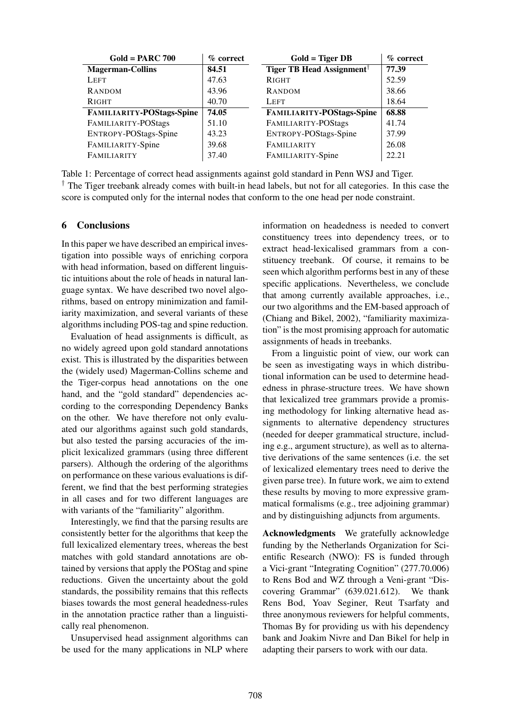| $Gold = PARC 700$                | % correct | $Gold = Tiger DB$                | $%$ correct |
|----------------------------------|-----------|----------------------------------|-------------|
| <b>Magerman-Collins</b>          | 84.51     | <b>Tiger TB Head Assignment</b>  | 77.39       |
| <b>LEFT</b>                      | 47.63     | <b>RIGHT</b>                     | 52.59       |
| <b>RANDOM</b>                    | 43.96     | <b>RANDOM</b>                    | 38.66       |
| <b>RIGHT</b>                     | 40.70     | LEFT                             | 18.64       |
| <b>FAMILIARITY-POStags-Spine</b> | 74.05     | <b>FAMILIARITY-POStags-Spine</b> | 68.88       |
| FAMILIARITY-POStags              | 51.10     | FAMILIARITY-POStags              | 41.74       |
| ENTROPY-POStags-Spine            | 43.23     | ENTROPY-POStags-Spine            | 37.99       |
| FAMILIARITY-Spine                | 39.68     | <b>FAMILIARITY</b>               | 26.08       |
| FAMILIARITY                      | 37.40     | FAMILIARITY-Spine                | 22.21       |

Table 1: Percentage of correct head assignments against gold standard in Penn WSJ and Tiger. † The Tiger treebank already comes with built-in head labels, but not for all categories. In this case the score is computed only for the internal nodes that conform to the one head per node constraint.

## 6 Conclusions

In this paper we have described an empirical investigation into possible ways of enriching corpora with head information, based on different linguistic intuitions about the role of heads in natural language syntax. We have described two novel algorithms, based on entropy minimization and familiarity maximization, and several variants of these algorithms including POS-tag and spine reduction.

Evaluation of head assignments is difficult, as no widely agreed upon gold standard annotations exist. This is illustrated by the disparities between the (widely used) Magerman-Collins scheme and the Tiger-corpus head annotations on the one hand, and the "gold standard" dependencies according to the corresponding Dependency Banks on the other. We have therefore not only evaluated our algorithms against such gold standards, but also tested the parsing accuracies of the implicit lexicalized grammars (using three different parsers). Although the ordering of the algorithms on performance on these various evaluations is different, we find that the best performing strategies in all cases and for two different languages are with variants of the "familiarity" algorithm.

Interestingly, we find that the parsing results are consistently better for the algorithms that keep the full lexicalized elementary trees, whereas the best matches with gold standard annotations are obtained by versions that apply the POStag and spine reductions. Given the uncertainty about the gold standards, the possibility remains that this reflects biases towards the most general headedness-rules in the annotation practice rather than a linguistically real phenomenon.

Unsupervised head assignment algorithms can be used for the many applications in NLP where information on headedness is needed to convert constituency trees into dependency trees, or to extract head-lexicalised grammars from a constituency treebank. Of course, it remains to be seen which algorithm performs best in any of these specific applications. Nevertheless, we conclude that among currently available approaches, i.e., our two algorithms and the EM-based approach of (Chiang and Bikel, 2002), "familiarity maximization" is the most promising approach for automatic assignments of heads in treebanks.

From a linguistic point of view, our work can be seen as investigating ways in which distributional information can be used to determine headedness in phrase-structure trees. We have shown that lexicalized tree grammars provide a promising methodology for linking alternative head assignments to alternative dependency structures (needed for deeper grammatical structure, including e.g., argument structure), as well as to alternative derivations of the same sentences (i.e. the set of lexicalized elementary trees need to derive the given parse tree). In future work, we aim to extend these results by moving to more expressive grammatical formalisms (e.g., tree adjoining grammar) and by distinguishing adjuncts from arguments.

Acknowledgments We gratefully acknowledge funding by the Netherlands Organization for Scientific Research (NWO): FS is funded through a Vici-grant "Integrating Cognition" (277.70.006) to Rens Bod and WZ through a Veni-grant "Discovering Grammar" (639.021.612). We thank Rens Bod, Yoav Seginer, Reut Tsarfaty and three anonymous reviewers for helpful comments, Thomas By for providing us with his dependency bank and Joakim Nivre and Dan Bikel for help in adapting their parsers to work with our data.